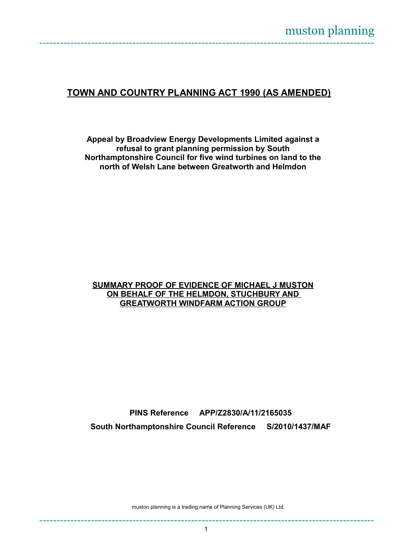## **TOWN AND COUNTRY PLANNING ACT 1990 (AS AMENDED)**

**Appeal by Broadview Energy Developments Limited against a refusal to grant planning permission by South Northamptonshire Council for five wind turbines on land to the north of Welsh Lane between Greatworth and Helmdon**

## **SUMMARY PROOF OF EVIDENCE OF MICHAEL J MUSTON ON BEHALF OF THE HELMDON, STUCHBURY AND GREATWORTH WINDFARM ACTION GROUP**

**PINS Reference APP/Z2830/A/11/2165035 South Northamptonshire Council Reference S/2010/1437/MAF**

muston planning is a trading name of Planning Services (UK) Ltd.

-------------------------------------------------------------------------------------------------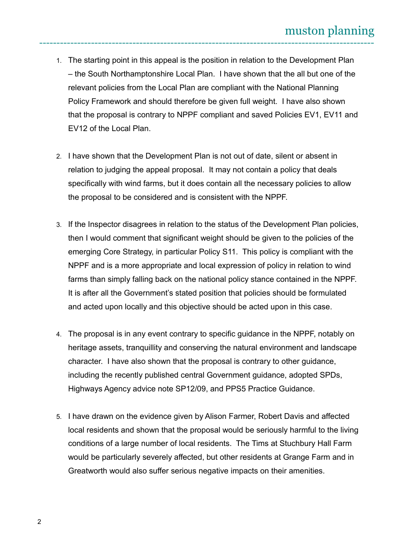- 1. The starting point in this appeal is the position in relation to the Development Plan – the South Northamptonshire Local Plan. I have shown that the all but one of the relevant policies from the Local Plan are compliant with the National Planning Policy Framework and should therefore be given full weight. I have also shown that the proposal is contrary to NPPF compliant and saved Policies EV1, EV11 and EV12 of the Local Plan.
- 2. I have shown that the Development Plan is not out of date, silent or absent in relation to judging the appeal proposal. It may not contain a policy that deals specifically with wind farms, but it does contain all the necessary policies to allow the proposal to be considered and is consistent with the NPPF.
- 3. If the Inspector disagrees in relation to the status of the Development Plan policies, then I would comment that significant weight should be given to the policies of the emerging Core Strategy, in particular Policy S11. This policy is compliant with the NPPF and is a more appropriate and local expression of policy in relation to wind farms than simply falling back on the national policy stance contained in the NPPF. It is after all the Government's stated position that policies should be formulated and acted upon locally and this objective should be acted upon in this case.
- 4. The proposal is in any event contrary to specific guidance in the NPPF, notably on heritage assets, tranquillity and conserving the natural environment and landscape character. I have also shown that the proposal is contrary to other guidance, including the recently published central Government guidance, adopted SPDs, Highways Agency advice note SP12/09, and PPS5 Practice Guidance.
- 5. I have drawn on the evidence given by Alison Farmer, Robert Davis and affected local residents and shown that the proposal would be seriously harmful to the living conditions of a large number of local residents. The Tims at Stuchbury Hall Farm would be particularly severely affected, but other residents at Grange Farm and in Greatworth would also suffer serious negative impacts on their amenities.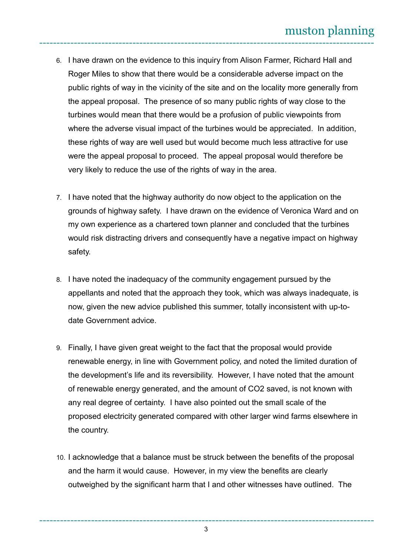- 6. I have drawn on the evidence to this inquiry from Alison Farmer, Richard Hall and Roger Miles to show that there would be a considerable adverse impact on the public rights of way in the vicinity of the site and on the locality more generally from the appeal proposal. The presence of so many public rights of way close to the turbines would mean that there would be a profusion of public viewpoints from where the adverse visual impact of the turbines would be appreciated. In addition, these rights of way are well used but would become much less attractive for use were the appeal proposal to proceed. The appeal proposal would therefore be very likely to reduce the use of the rights of way in the area.
- 7. I have noted that the highway authority do now object to the application on the grounds of highway safety. I have drawn on the evidence of Veronica Ward and on my own experience as a chartered town planner and concluded that the turbines would risk distracting drivers and consequently have a negative impact on highway safety.
- 8. I have noted the inadequacy of the community engagement pursued by the appellants and noted that the approach they took, which was always inadequate, is now, given the new advice published this summer, totally inconsistent with up-todate Government advice.
- 9. Finally, I have given great weight to the fact that the proposal would provide renewable energy, in line with Government policy, and noted the limited duration of the development's life and its reversibility. However, I have noted that the amount of renewable energy generated, and the amount of CO2 saved, is not known with any real degree of certainty. I have also pointed out the small scale of the proposed electricity generated compared with other larger wind farms elsewhere in the country.
- 10. I acknowledge that a balance must be struck between the benefits of the proposal and the harm it would cause. However, in my view the benefits are clearly outweighed by the significant harm that I and other witnesses have outlined. The